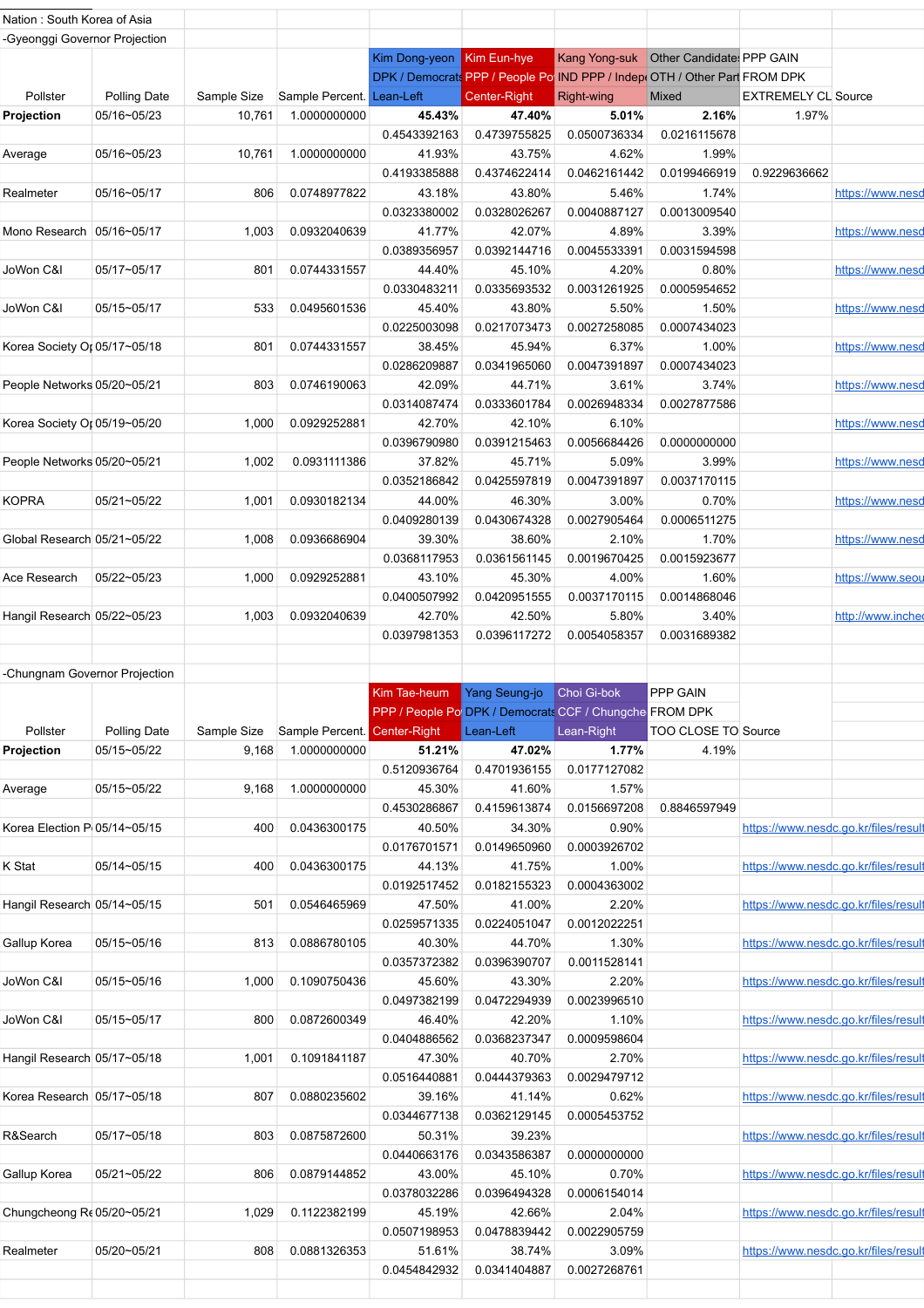| Nation : South Korea of Asia  |              |             |                                       |                           |                                                         |              |                                                                             |                            |                                      |
|-------------------------------|--------------|-------------|---------------------------------------|---------------------------|---------------------------------------------------------|--------------|-----------------------------------------------------------------------------|----------------------------|--------------------------------------|
| -Gyeonggi Governor Projection |              |             |                                       |                           |                                                         |              |                                                                             |                            |                                      |
|                               |              |             |                                       |                           |                                                         |              |                                                                             |                            |                                      |
|                               |              |             |                                       | Kim Dong-yeon Kim Eun-hye |                                                         |              | Kang Yong-suk   Other Candidate: PPP GAIN                                   |                            |                                      |
|                               |              |             |                                       |                           |                                                         |              | DPK / Democrats PPP / People Po IND PPP / Indep (OTH / Other Part FROM DPK) |                            |                                      |
| Pollster                      | Polling Date |             | Sample Size Sample Percent. Lean-Left |                           | Center-Right                                            | Right-wing   | Mixed                                                                       | <b>EXTREMELY CL Source</b> |                                      |
| Projection                    | 05/16~05/23  | 10,761      | 1.0000000000                          | 45.43%                    | 47.40%                                                  | 5.01%        | 2.16%                                                                       | 1.97%                      |                                      |
|                               |              |             |                                       | 0.4543392163              | 0.4739755825                                            | 0.0500736334 | 0.0216115678                                                                |                            |                                      |
| Average                       | 05/16~05/23  | 10,761      | 1.0000000000                          | 41.93%                    | 43.75%                                                  | 4.62%        | 1.99%                                                                       |                            |                                      |
|                               |              |             |                                       | 0.4193385888              | 0.4374622414                                            | 0.0462161442 | 0.0199466919                                                                | 0.9229636662               |                                      |
|                               |              |             |                                       |                           |                                                         |              |                                                                             |                            |                                      |
| Realmeter                     | 05/16~05/17  | 806         | 0.0748977822                          | 43.18%                    | 43.80%                                                  | 5.46%        | 1.74%                                                                       |                            | https://www.nesd                     |
|                               |              |             |                                       | 0.0323380002              | 0.0328026267                                            | 0.0040887127 | 0.0013009540                                                                |                            |                                      |
| Mono Research   05/16~05/17   |              | 1,003       | 0.0932040639                          | 41.77%                    | 42.07%                                                  | 4.89%        | 3.39%                                                                       |                            | https://www.nesd                     |
|                               |              |             |                                       | 0.0389356957              | 0.0392144716                                            | 0.0045533391 | 0.0031594598                                                                |                            |                                      |
| JoWon C&I                     | 05/17~05/17  | 801         | 0.0744331557                          | 44.40%                    | 45.10%                                                  | 4.20%        | 0.80%                                                                       |                            | https://www.nesd                     |
|                               |              |             |                                       | 0.0330483211              | 0.0335693532                                            | 0.0031261925 | 0.0005954652                                                                |                            |                                      |
|                               |              |             |                                       |                           |                                                         |              |                                                                             |                            |                                      |
| JoWon C&I                     | 05/15~05/17  | 533         | 0.0495601536                          | 45.40%                    | 43.80%                                                  | 5.50%        | 1.50%                                                                       |                            | https://www.nesd                     |
|                               |              |             |                                       | 0.0225003098              | 0.0217073473                                            | 0.0027258085 | 0.0007434023                                                                |                            |                                      |
| Korea Society Or 05/17~05/18  |              | 801         | 0.0744331557                          | 38.45%                    | 45.94%                                                  | 6.37%        | 1.00%                                                                       |                            | https://www.nesd                     |
|                               |              |             |                                       | 0.0286209887              | 0.0341965060                                            | 0.0047391897 | 0.0007434023                                                                |                            |                                      |
| People Networks 05/20~05/21   |              | 803         | 0.0746190063                          | 42.09%                    | 44.71%                                                  | 3.61%        | 3.74%                                                                       |                            | https://www.nesd                     |
|                               |              |             |                                       | 0.0314087474              | 0.0333601784                                            | 0.0026948334 | 0.0027877586                                                                |                            |                                      |
|                               |              |             |                                       |                           |                                                         |              |                                                                             |                            |                                      |
| Korea Society Or 05/19~05/20  |              | 1,000       | 0.0929252881                          | 42.70%                    | 42.10%                                                  | 6.10%        |                                                                             |                            | https://www.nesd                     |
|                               |              |             |                                       | 0.0396790980              | 0.0391215463                                            | 0.0056684426 | 0.0000000000                                                                |                            |                                      |
| People Networks 05/20~05/21   |              | 1,002       | 0.0931111386                          | 37.82%                    | 45.71%                                                  | 5.09%        | 3.99%                                                                       |                            | https://www.nesd                     |
|                               |              |             |                                       | 0.0352186842              | 0.0425597819                                            | 0.0047391897 | 0.0037170115                                                                |                            |                                      |
| KOPRA                         | 05/21~05/22  | 1,001       | 0.0930182134                          | 44.00%                    | 46.30%                                                  | 3.00%        | 0.70%                                                                       |                            | https://www.nesd                     |
|                               |              |             |                                       | 0.0409280139              | 0.0430674328                                            | 0.0027905464 | 0.0006511275                                                                |                            |                                      |
|                               |              |             |                                       |                           |                                                         |              |                                                                             |                            |                                      |
| Global Research 05/21~05/22   |              | 1,008       | 0.0936686904                          | 39.30%                    | 38.60%                                                  | 2.10%        | 1.70%                                                                       |                            | https://www.nesd                     |
|                               |              |             |                                       | 0.0368117953              | 0.0361561145                                            | 0.0019670425 | 0.0015923677                                                                |                            |                                      |
| Ace Research                  | 05/22~05/23  | 1,000       | 0.0929252881                          | 43.10%                    | 45.30%                                                  | 4.00%        | 1.60%                                                                       |                            | https://www.seou                     |
|                               |              |             |                                       | 0.0400507992              | 0.0420951555                                            | 0.0037170115 | 0.0014868046                                                                |                            |                                      |
| Hangil Research 05/22~05/23   |              | 1,003       | 0.0932040639                          | 42.70%                    | 42.50%                                                  | 5.80%        | 3.40%                                                                       |                            | http://www.incheo                    |
|                               |              |             |                                       |                           |                                                         |              |                                                                             |                            |                                      |
|                               |              |             |                                       | 0.0397981353              | 0.0396117272                                            | 0.0054058357 | 0.0031689382                                                                |                            |                                      |
|                               |              |             |                                       |                           |                                                         |              |                                                                             |                            |                                      |
| -Chungnam Governor Projection |              |             |                                       |                           |                                                         |              |                                                                             |                            |                                      |
|                               |              |             |                                       | Kim Tae-heum              | Yang Seung-jo                                           | Choi Gi-bok  | PPP GAIN                                                                    |                            |                                      |
|                               |              |             |                                       |                           | PPP / People Po DPK / Democrats CCF / Chungche FROM DPK |              |                                                                             |                            |                                      |
| Pollster                      | Polling Date | Sample Size | Sample Percent. Center-Right          |                           | Lean-Left                                               | Lean-Right   | TOO CLOSE TO Source                                                         |                            |                                      |
| Projection                    | 05/15~05/22  |             |                                       |                           |                                                         |              | 4.19%                                                                       |                            |                                      |
|                               |              |             |                                       |                           |                                                         |              |                                                                             |                            |                                      |
|                               |              | 9,168       | 1.0000000000                          | 51.21%                    | 47.02%                                                  | 1.77%        |                                                                             |                            |                                      |
|                               |              |             |                                       | 0.5120936764              | 0.4701936155                                            | 0.0177127082 |                                                                             |                            |                                      |
| Average                       | 05/15~05/22  | 9,168       | 1.0000000000                          | 45.30%                    | 41.60%                                                  | 1.57%        |                                                                             |                            |                                      |
|                               |              |             |                                       | 0.4530286867              | 0.4159613874                                            | 0.0156697208 | 0.8846597949                                                                |                            |                                      |
| Korea Election P 05/14~05/15  |              | 400         | 0.0436300175                          | 40.50%                    | 34.30%                                                  | 0.90%        |                                                                             |                            | https://www.nesdc.go.kr/files/result |
|                               |              |             |                                       |                           |                                                         |              |                                                                             |                            |                                      |
|                               |              |             |                                       | 0.0176701571              | 0.0149650960                                            | 0.0003926702 |                                                                             |                            |                                      |
| K Stat                        | 05/14~05/15  | 400         | 0.0436300175                          | 44.13%                    | 41.75%                                                  | 1.00%        |                                                                             |                            | https://www.nesdc.go.kr/files/result |
|                               |              |             |                                       | 0.0192517452              | 0.0182155323                                            | 0.0004363002 |                                                                             |                            |                                      |
| Hangil Research 05/14~05/15   |              | 501         | 0.0546465969                          | 47.50%                    | 41.00%                                                  | 2.20%        |                                                                             |                            | https://www.nesdc.go.kr/files/result |
|                               |              |             |                                       | 0.0259571335              | 0.0224051047                                            | 0.0012022251 |                                                                             |                            |                                      |
| Gallup Korea                  | 05/15~05/16  | 813         | 0.0886780105                          | 40.30%                    | 44.70%                                                  | 1.30%        |                                                                             |                            | https://www.nesdc.go.kr/files/result |
|                               |              |             |                                       |                           |                                                         |              |                                                                             |                            |                                      |
|                               |              |             |                                       | 0.0357372382              | 0.0396390707                                            | 0.0011528141 |                                                                             |                            |                                      |
| JoWon C&I                     | 05/15~05/16  | 1,000       | 0.1090750436                          | 45.60%                    | 43.30%                                                  | 2.20%        |                                                                             |                            | https://www.nesdc.go.kr/files/result |
|                               |              |             |                                       | 0.0497382199              | 0.0472294939                                            | 0.0023996510 |                                                                             |                            |                                      |
| JoWon C&I                     | 05/15~05/17  | 800         | 0.0872600349                          | 46.40%                    | 42.20%                                                  | 1.10%        |                                                                             |                            | https://www.nesdc.go.kr/files/result |
|                               |              |             |                                       | 0.0404886562              | 0.0368237347                                            | 0.0009598604 |                                                                             |                            |                                      |
| Hangil Research 05/17~05/18   |              | 1,001       | 0.1091841187                          | 47.30%                    | 40.70%                                                  | 2.70%        |                                                                             |                            | https://www.nesdc.go.kr/files/result |
|                               |              |             |                                       |                           |                                                         |              |                                                                             |                            |                                      |
|                               |              |             |                                       | 0.0516440881              | 0.0444379363                                            | 0.0029479712 |                                                                             |                            |                                      |
| Korea Research 05/17~05/18    |              | 807         | 0.0880235602                          | 39.16%                    | 41.14%                                                  | 0.62%        |                                                                             |                            | https://www.nesdc.go.kr/files/result |
|                               |              |             |                                       | 0.0344677138              | 0.0362129145                                            | 0.0005453752 |                                                                             |                            |                                      |
| R&Search                      | 05/17~05/18  | 803         | 0.0875872600                          | 50.31%                    | 39.23%                                                  |              |                                                                             |                            | https://www.nesdc.go.kr/files/result |
|                               |              |             |                                       | 0.0440663176              | 0.0343586387                                            | 0.0000000000 |                                                                             |                            |                                      |
| Gallup Korea                  | 05/21~05/22  | 806         | 0.0879144852                          | 43.00%                    |                                                         | 0.70%        |                                                                             |                            | https://www.nesdc.go.kr/files/result |
|                               |              |             |                                       |                           | 45.10%                                                  |              |                                                                             |                            |                                      |
|                               |              |             |                                       | 0.0378032286              | 0.0396494328                                            | 0.0006154014 |                                                                             |                            |                                      |
| Chungcheong Re 05/20~05/21    |              | 1,029       | 0.1122382199                          | 45.19%                    | 42.66%                                                  | 2.04%        |                                                                             |                            | https://www.nesdc.go.kr/files/result |
|                               |              |             |                                       | 0.0507198953              | 0.0478839442                                            | 0.0022905759 |                                                                             |                            |                                      |
| Realmeter                     | 05/20~05/21  | 808         | 0.0881326353                          | 51.61%                    | 38.74%                                                  | 3.09%        |                                                                             |                            | https://www.nesdc.go.kr/files/result |
|                               |              |             |                                       | 0.0454842932              | 0.0341404887                                            | 0.0027268761 |                                                                             |                            |                                      |
|                               |              |             |                                       |                           |                                                         |              |                                                                             |                            |                                      |